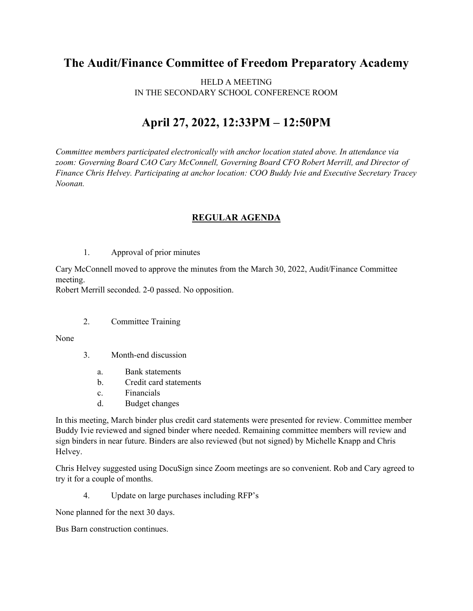## **The Audit/Finance Committee of Freedom Preparatory Academy**

HELD A MEETING IN THE SECONDARY SCHOOL CONFERENCE ROOM

## **April 27, 2022, 12:33PM – 12:50PM**

*Committee members participated electronically with anchor location stated above. In attendance via zoom: Governing Board CAO Cary McConnell, Governing Board CFO Robert Merrill, and Director of Finance Chris Helvey. Participating at anchor location: COO Buddy Ivie and Executive Secretary Tracey Noonan.*

## **REGULAR AGENDA**

1. Approval of prior minutes

Cary McConnell moved to approve the minutes from the March 30, 2022, Audit/Finance Committee meeting.

Robert Merrill seconded. 2-0 passed. No opposition.

2. Committee Training

None

- 3. Month-end discussion
	- a. Bank statements
	- b. Credit card statements
	- c. Financials
	- d. Budget changes

In this meeting, March binder plus credit card statements were presented for review. Committee member Buddy Ivie reviewed and signed binder where needed. Remaining committee members will review and sign binders in near future. Binders are also reviewed (but not signed) by Michelle Knapp and Chris Helvey.

Chris Helvey suggested using DocuSign since Zoom meetings are so convenient. Rob and Cary agreed to try it for a couple of months.

4. Update on large purchases including RFP's

None planned for the next 30 days.

Bus Barn construction continues.